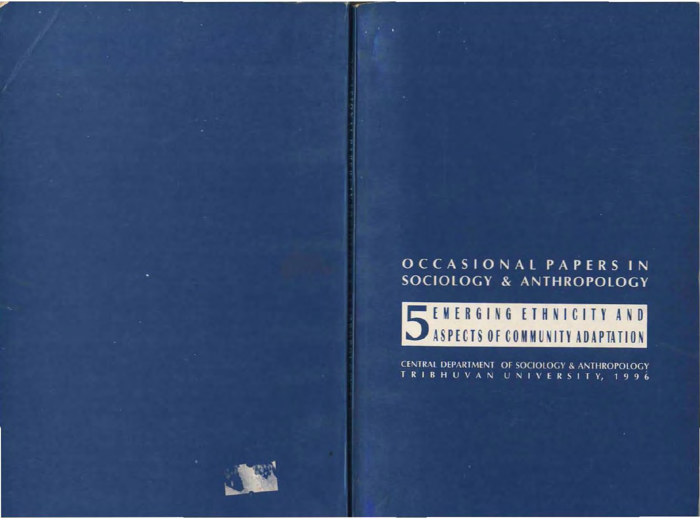### OCCASIONAL PAPERS IN SOCIOLOGY & ANTHROPOLOGY

## SEMERGING ETHNICITY AND

CENTRAL DEPARTMENT OF SOCIOLOGY & ANTHROPOLOGY TRIBHUVAN UNIVERSITY, 1996

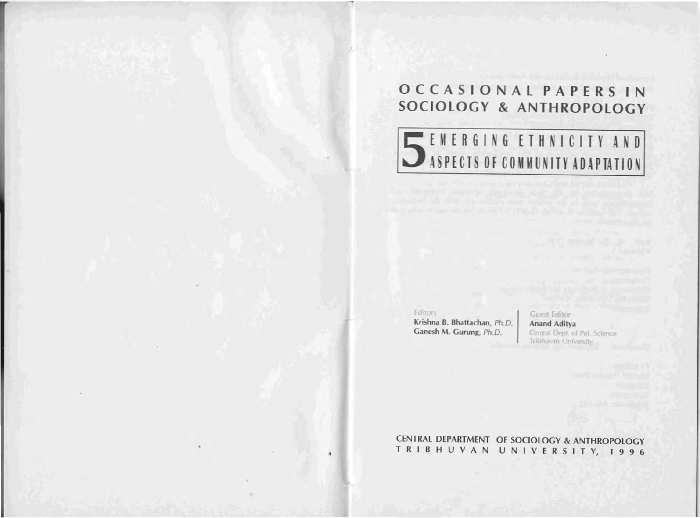### OCCASIONAL PAPERS IN SOCIOLOGY & ANTHROPOLOGY

# SEMERGING ETHNICITY AND

Editors

Krishna B. Bhattachan, Ph.D. Ganesh M. Gurung, Ph.D.

**Guest Editor** Anand Aditya Central Dept. of Pol. Science Tribhuvan University

CENTRAL DEPARTMENT OF SOCIOLOGY & ANTHROPOLOGY TRIBHUVAN UNIVERSITY, 1996